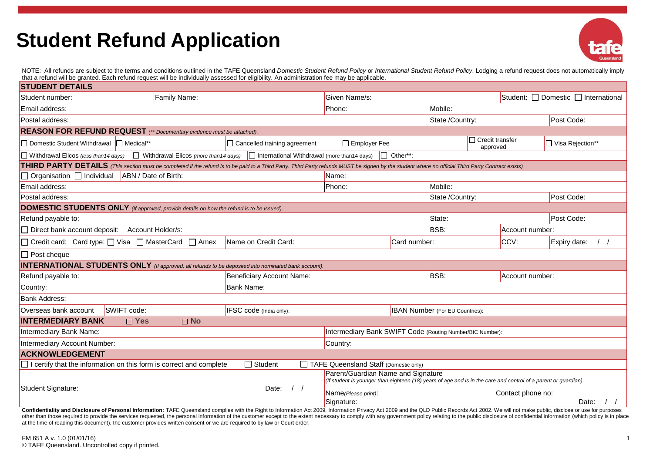## **Student Refund Application**



NOTE: All refunds are subject to the terms and conditions outlined in the TAFE Queensland Domestic Student Refund Policy or International Student Refund Policy. Lodging a refund request does not automatically imply that a refund will be granted. Each refund request will be individually assessed for eligibility. An administration fee may be applicable.

| <b>STUDENT DETAILS</b>                                                                                                                                                                             |                                                        |                                       |                 |                                        |                 |                   |                               |  |  |  |
|----------------------------------------------------------------------------------------------------------------------------------------------------------------------------------------------------|--------------------------------------------------------|---------------------------------------|-----------------|----------------------------------------|-----------------|-------------------|-------------------------------|--|--|--|
| Family Name:<br>Student number:                                                                                                                                                                    | Given Name/s:                                          |                                       |                 | Student: □ Domestic □ International    |                 |                   |                               |  |  |  |
| Email address:                                                                                                                                                                                     | Phone:                                                 |                                       | Mobile:         |                                        |                 |                   |                               |  |  |  |
| Postal address:                                                                                                                                                                                    |                                                        |                                       | State /Country: |                                        | Post Code:      |                   |                               |  |  |  |
| REASON FOR REFUND REQUEST (** Documentary evidence must be attached).                                                                                                                              |                                                        |                                       |                 |                                        |                 |                   |                               |  |  |  |
| □ Domestic Student Withdrawal □ Medical**                                                                                                                                                          | $\Box$ Cancelled training agreement                    | $\Box$ Employer Fee                   |                 | $\Box$ Credit transfer<br>approved     |                 |                   | □ Visa Rejection**            |  |  |  |
| $\Box$ Withdrawal Elicos (more than14 days) $\Box$ International Withdrawal (more than14 days)<br>$\Box$ Withdrawal Elicos (less than 14 days)<br>Other**:                                         |                                                        |                                       |                 |                                        |                 |                   |                               |  |  |  |
| THIRD PARTY DETAILS (This section must be completed if the refund is to be paid to a Third Party. Third Party refunds MUST be signed by the student where no official Third Party Contract exists) |                                                        |                                       |                 |                                        |                 |                   |                               |  |  |  |
| Organisation □ Individual<br>ABN / Date of Birth:                                                                                                                                                  | Name:                                                  |                                       |                 |                                        |                 |                   |                               |  |  |  |
| Email address:                                                                                                                                                                                     | Phone:                                                 | Mobile:                               |                 |                                        |                 |                   |                               |  |  |  |
| Postal address:                                                                                                                                                                                    | State /Country:                                        |                                       |                 | Post Code:                             |                 |                   |                               |  |  |  |
| <b>DOMESTIC STUDENTS ONLY</b> (If approved, provide details on how the refund is to be issued).                                                                                                    |                                                        |                                       |                 |                                        |                 |                   |                               |  |  |  |
| Refund payable to:                                                                                                                                                                                 | State:                                                 |                                       |                 | Post Code:                             |                 |                   |                               |  |  |  |
| Direct bank account deposit: Account Holder/s:                                                                                                                                                     |                                                        | <b>BSB:</b>                           |                 |                                        | Account number: |                   |                               |  |  |  |
| □ Credit card: Card type: □ Visa □ MasterCard □ Amex                                                                                                                                               | Name on Credit Card:                                   |                                       |                 | Card number:                           |                 | CCV:              | Expiry date:<br>$\frac{1}{2}$ |  |  |  |
| $\Box$ Post cheque                                                                                                                                                                                 |                                                        |                                       |                 |                                        |                 |                   |                               |  |  |  |
| <b>INTERNATIONAL STUDENTS ONLY</b> (If approved, all refunds to be deposited into nominated bank account).                                                                                         |                                                        |                                       |                 |                                        |                 |                   |                               |  |  |  |
| Refund payable to:                                                                                                                                                                                 | <b>Beneficiary Account Name:</b>                       |                                       |                 | BSB:                                   |                 | Account number:   |                               |  |  |  |
| Country:                                                                                                                                                                                           |                                                        |                                       |                 |                                        |                 |                   |                               |  |  |  |
| <b>Bank Address:</b>                                                                                                                                                                               |                                                        |                                       |                 |                                        |                 |                   |                               |  |  |  |
| SWIFT code:<br>Overseas bank account                                                                                                                                                               | IFSC code (India only):                                |                                       |                 | <b>IBAN Number</b> (For EU Countries): |                 |                   |                               |  |  |  |
| <b>INTERMEDIARY BANK</b><br>$\square$ No<br>$\square$ Yes                                                                                                                                          |                                                        |                                       |                 |                                        |                 |                   |                               |  |  |  |
| Intermediary Bank Name:<br>Intermediary Bank SWIFT Code (Routing Number/BIC Number):                                                                                                               |                                                        |                                       |                 |                                        |                 |                   |                               |  |  |  |
| Intermediary Account Number:<br>Country:                                                                                                                                                           |                                                        |                                       |                 |                                        |                 |                   |                               |  |  |  |
| <b>ACKNOWLEDGEMENT</b>                                                                                                                                                                             |                                                        |                                       |                 |                                        |                 |                   |                               |  |  |  |
| certify that the information on this form is correct and complete                                                                                                                                  | $\Box$ Student                                         | TAFE Queensland Staff (Domestic only) |                 |                                        |                 |                   |                               |  |  |  |
| Parent/Guardian Name and Signature<br>(If student is younger than eighteen (18) years of age and is in the care and control of a parent or guardian)                                               |                                                        |                                       |                 |                                        |                 |                   |                               |  |  |  |
| Student Signature:                                                                                                                                                                                 | Date:<br>$\left  \begin{array}{c} \end{array} \right $ | Name(Please print):<br>Signature:     |                 |                                        |                 | Contact phone no: | Date:                         |  |  |  |

Confidentiality and Disclosure of Personal Information: TAFE Queensland complies with the Right to Information Act 2009, Information Privacy Act 2009 and the QLD Public Records Act 2002. We will not make public, disclose o other than those required to provide the services requested, the personal information of the customer except to the extent necessary to comply with any government policy relating to the public disclosure of confidential in at the time of reading this document), the customer provides written consent or we are required to by law or Court order.